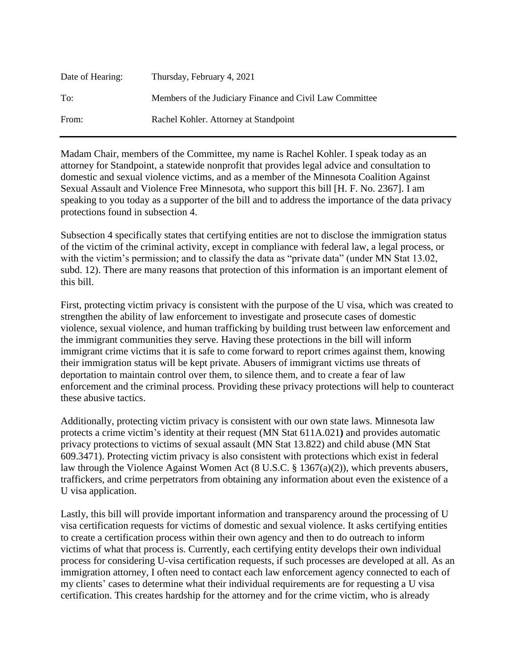| Date of Hearing: | Thursday, February 4, 2021                               |
|------------------|----------------------------------------------------------|
| To:              | Members of the Judiciary Finance and Civil Law Committee |
| From:            | Rachel Kohler. Attorney at Standpoint                    |

Madam Chair, members of the Committee, my name is Rachel Kohler. I speak today as an attorney for Standpoint, a statewide nonprofit that provides legal advice and consultation to domestic and sexual violence victims, and as a member of the Minnesota Coalition Against Sexual Assault and Violence Free Minnesota, who support this bill [H. F. No. 2367]. I am speaking to you today as a supporter of the bill and to address the importance of the data privacy protections found in subsection 4.

Subsection 4 specifically states that certifying entities are not to disclose the immigration status of the victim of the criminal activity, except in compliance with federal law, a legal process, or with the victim's permission; and to classify the data as "private data" (under MN Stat 13.02, subd. 12). There are many reasons that protection of this information is an important element of this bill.

First, protecting victim privacy is consistent with the purpose of the U visa, which was created to strengthen the ability of law enforcement to investigate and prosecute cases of domestic violence, sexual violence, and human trafficking by building trust between law enforcement and the immigrant communities they serve. Having these protections in the bill will inform immigrant crime victims that it is safe to come forward to report crimes against them, knowing their immigration status will be kept private. Abusers of immigrant victims use threats of deportation to maintain control over them, to silence them, and to create a fear of law enforcement and the criminal process. Providing these privacy protections will help to counteract these abusive tactics.

Additionally, protecting victim privacy is consistent with our own state laws. Minnesota law protects a crime victim's identity at their request (MN Stat 611A.021**)** and provides automatic privacy protections to victims of sexual assault (MN Stat 13.822) and child abuse (MN Stat 609.3471). Protecting victim privacy is also consistent with protections which exist in federal law through the Violence Against Women Act (8 U.S.C. § 1367(a)(2)), which prevents abusers, traffickers, and crime perpetrators from obtaining any information about even the existence of a U visa application.

Lastly, this bill will provide important information and transparency around the processing of U visa certification requests for victims of domestic and sexual violence. It asks certifying entities to create a certification process within their own agency and then to do outreach to inform victims of what that process is. Currently, each certifying entity develops their own individual process for considering U-visa certification requests, if such processes are developed at all. As an immigration attorney, I often need to contact each law enforcement agency connected to each of my clients' cases to determine what their individual requirements are for requesting a U visa certification. This creates hardship for the attorney and for the crime victim, who is already